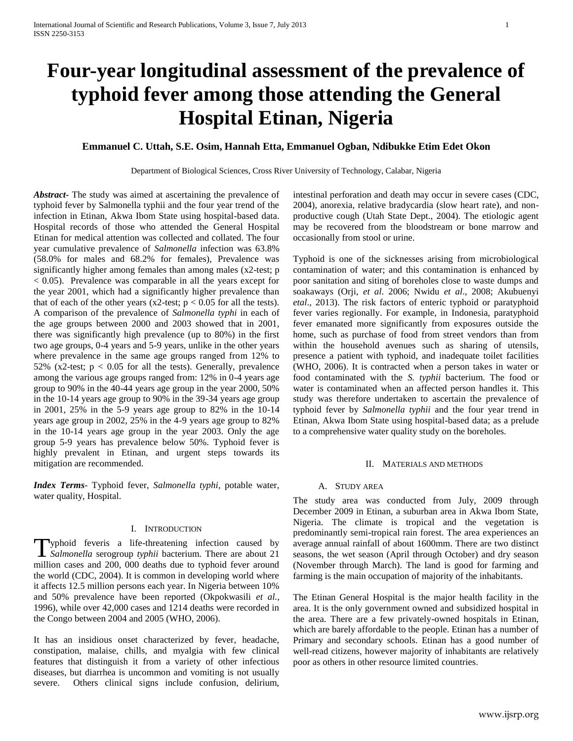# **Four-year longitudinal assessment of the prevalence of typhoid fever among those attending the General Hospital Etinan, Nigeria**

# **Emmanuel C. Uttah, S.E. Osim, Hannah Etta, Emmanuel Ogban, Ndibukke Etim Edet Okon**

Department of Biological Sciences, Cross River University of Technology, Calabar, Nigeria

*Abstract***-** The study was aimed at ascertaining the prevalence of typhoid fever by Salmonella typhii and the four year trend of the infection in Etinan, Akwa Ibom State using hospital-based data. Hospital records of those who attended the General Hospital Etinan for medical attention was collected and collated. The four year cumulative prevalence of *Salmonella* infection was 63.8% (58.0% for males and 68.2% for females), Prevalence was significantly higher among females than among males (x2-test; p  $< 0.05$ ). Prevalence was comparable in all the years except for the year 2001, which had a significantly higher prevalence than that of each of the other years (x2-test;  $p < 0.05$  for all the tests). A comparison of the prevalence of *Salmonella typhi* in each of the age groups between 2000 and 2003 showed that in 2001, there was significantly high prevalence (up to 80%) in the first two age groups, 0-4 years and 5-9 years, unlike in the other years where prevalence in the same age groups ranged from 12% to 52% (x2-test;  $p < 0.05$  for all the tests). Generally, prevalence among the various age groups ranged from: 12% in 0-4 years age group to 90% in the 40-44 years age group in the year 2000, 50% in the 10-14 years age group to 90% in the 39-34 years age group in 2001, 25% in the 5-9 years age group to 82% in the 10-14 years age group in 2002, 25% in the 4-9 years age group to 82% in the 10-14 years age group in the year 2003. Only the age group 5-9 years has prevalence below 50%. Typhoid fever is highly prevalent in Etinan, and urgent steps towards its mitigation are recommended.

*Index Terms*- Typhoid fever, *Salmonella typhi*, potable water, water quality, Hospital.

## I. INTRODUCTION

yphoid feveris a life-threatening infection caused by **Typhoid** feveris a life-threatening infection caused by *Salmonella* serogroup *typhii* bacterium. There are about 21 million cases and 200, 000 deaths due to typhoid fever around the world (CDC, 2004). It is common in developing world where it affects 12.5 million persons each year. In Nigeria between 10% and 50% prevalence have been reported (Okpokwasili *et al.,* 1996), while over 42,000 cases and 1214 deaths were recorded in the Congo between 2004 and 2005 (WHO, 2006).

It has an insidious onset characterized by fever, headache, constipation, malaise, chills, and myalgia with few clinical features that distinguish it from a variety of other infectious diseases, but diarrhea is uncommon and vomiting is not usually severe. Others clinical signs include confusion, delirium, intestinal perforation and death may occur in severe cases (CDC, 2004), anorexia, relative bradycardia (slow heart rate), and nonproductive cough (Utah State Dept., 2004). The etiologic agent may be recovered from the bloodstream or bone marrow and occasionally from stool or urine.

Typhoid is one of the sicknesses arising from microbiological contamination of water; and this contamination is enhanced by poor sanitation and siting of boreholes close to waste dumps and soakaways (Orji, *et al*. 2006; Nwidu *et al*., 2008; Akubuenyi *etal*., 2013). The risk factors of enteric typhoid or paratyphoid fever varies regionally. For example, in Indonesia, paratyphoid fever emanated more significantly from exposures outside the home, such as purchase of food from street vendors than from within the household avenues such as sharing of utensils, presence a patient with typhoid, and inadequate toilet facilities (WHO, 2006). It is contracted when a person takes in water or food contaminated with the *S. typhii* bacterium. The food or water is contaminated when an affected person handles it. This study was therefore undertaken to ascertain the prevalence of typhoid fever by *Salmonella typhii* and the four year trend in Etinan, Akwa Ibom State using hospital-based data; as a prelude to a comprehensive water quality study on the boreholes.

#### II. MATERIALS AND METHODS

#### A. STUDY AREA

The study area was conducted from July, 2009 through December 2009 in Etinan, a suburban area in Akwa Ibom State, Nigeria. The climate is tropical and the vegetation is predominantly semi-tropical rain forest. The area experiences an average annual rainfall of about 1600mm. There are two distinct seasons, the wet season (April through October) and dry season (November through March). The land is good for farming and farming is the main occupation of majority of the inhabitants.

The Etinan General Hospital is the major health facility in the area. It is the only government owned and subsidized hospital in the area. There are a few privately-owned hospitals in Etinan, which are barely affordable to the people. Etinan has a number of Primary and secondary schools. Etinan has a good number of well-read citizens, however majority of inhabitants are relatively poor as others in other resource limited countries.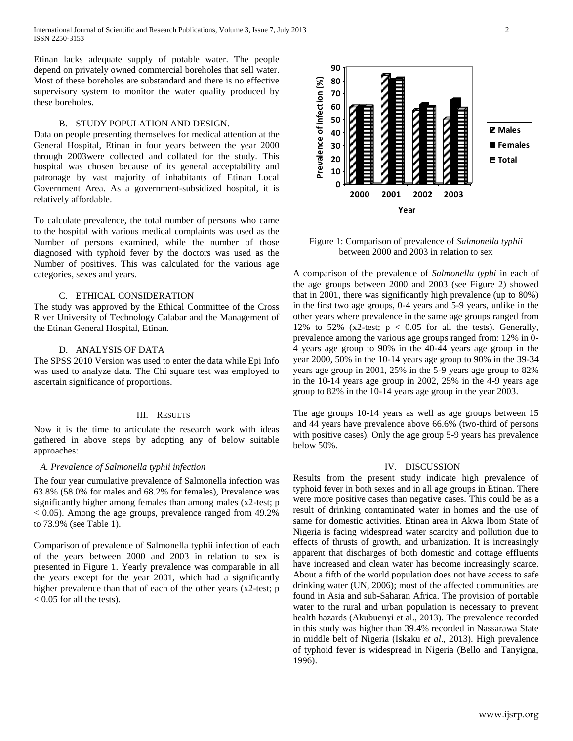International Journal of Scientific and Research Publications, Volume 3, Issue 7, July 2013 2 ISSN 2250-3153

Etinan lacks adequate supply of potable water. The people depend on privately owned commercial boreholes that sell water. Most of these boreholes are substandard and there is no effective supervisory system to monitor the water quality produced by these boreholes.

# B. STUDY POPULATION AND DESIGN.

Data on people presenting themselves for medical attention at the General Hospital, Etinan in four years between the year 2000 through 2003were collected and collated for the study. This hospital was chosen because of its general acceptability and patronage by vast majority of inhabitants of Etinan Local Government Area. As a government-subsidized hospital, it is relatively affordable.

To calculate prevalence, the total number of persons who came to the hospital with various medical complaints was used as the Number of persons examined, while the number of those diagnosed with typhoid fever by the doctors was used as the Number of positives. This was calculated for the various age categories, sexes and years.

## C. ETHICAL CONSIDERATION

The study was approved by the Ethical Committee of the Cross River University of Technology Calabar and the Management of the Etinan General Hospital, Etinan.

## D. ANALYSIS OF DATA

The SPSS 2010 Version was used to enter the data while Epi Info was used to analyze data. The Chi square test was employed to ascertain significance of proportions.

#### III. RESULTS

Now it is the time to articulate the research work with ideas gathered in above steps by adopting any of below suitable approaches:

#### *A. Prevalence of Salmonella typhii infection*

The four year cumulative prevalence of Salmonella infection was 63.8% (58.0% for males and 68.2% for females), Prevalence was significantly higher among females than among males (x2-test; p  $< 0.05$ ). Among the age groups, prevalence ranged from 49.2% to 73.9% (see Table 1).

Comparison of prevalence of Salmonella typhii infection of each of the years between 2000 and 2003 in relation to sex is presented in Figure 1. Yearly prevalence was comparable in all the years except for the year 2001, which had a significantly higher prevalence than that of each of the other years (x2-test; p  $< 0.05$  for all the tests).



Figure 1: Comparison of prevalence of *Salmonella typhii* between 2000 and 2003 in relation to sex

A comparison of the prevalence of *Salmonella typhi* in each of the age groups between 2000 and 2003 (see Figure 2) showed that in 2001, there was significantly high prevalence (up to 80%) in the first two age groups, 0-4 years and 5-9 years, unlike in the other years where prevalence in the same age groups ranged from 12% to 52% (x2-test;  $p < 0.05$  for all the tests). Generally, prevalence among the various age groups ranged from: 12% in 0- 4 years age group to 90% in the 40-44 years age group in the year 2000, 50% in the 10-14 years age group to 90% in the 39-34 years age group in 2001, 25% in the 5-9 years age group to 82% in the 10-14 years age group in 2002, 25% in the 4-9 years age group to 82% in the 10-14 years age group in the year 2003.

The age groups 10-14 years as well as age groups between 15 and 44 years have prevalence above 66.6% (two-third of persons with positive cases). Only the age group 5-9 years has prevalence below 50%.

#### IV. DISCUSSION

Results from the present study indicate high prevalence of typhoid fever in both sexes and in all age groups in Etinan. There were more positive cases than negative cases. This could be as a result of drinking contaminated water in homes and the use of same for domestic activities. Etinan area in Akwa Ibom State of Nigeria is facing widespread water scarcity and pollution due to effects of thrusts of growth, and urbanization. It is increasingly apparent that discharges of both domestic and cottage effluents have increased and clean water has become increasingly scarce. About a fifth of the world population does not have access to safe drinking water (UN, 2006); most of the affected communities are found in Asia and sub-Saharan Africa. The provision of portable water to the rural and urban population is necessary to prevent health hazards (Akubuenyi et al., 2013). The prevalence recorded in this study was higher than 39.4% recorded in Nassarawa State in middle belt of Nigeria (Iskaku *et al*., 2013). High prevalence of typhoid fever is widespread in Nigeria (Bello and Tanyigna, 1996).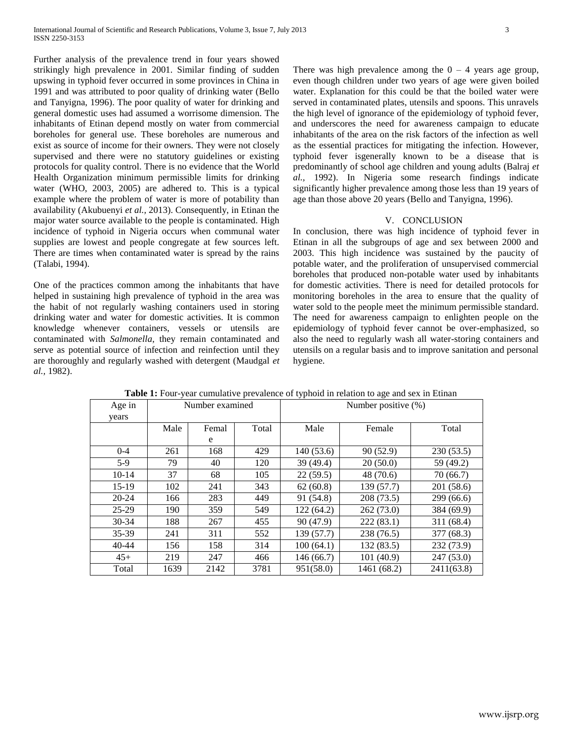Further analysis of the prevalence trend in four years showed strikingly high prevalence in 2001. Similar finding of sudden upswing in typhoid fever occurred in some provinces in China in 1991 and was attributed to poor quality of drinking water (Bello and Tanyigna, 1996). The poor quality of water for drinking and general domestic uses had assumed a worrisome dimension. The inhabitants of Etinan depend mostly on water from commercial boreholes for general use. These boreholes are numerous and exist as source of income for their owners. They were not closely supervised and there were no statutory guidelines or existing protocols for quality control. There is no evidence that the World Health Organization minimum permissible limits for drinking water (WHO, 2003, 2005) are adhered to. This is a typical example where the problem of water is more of potability than availability (Akubuenyi *et al.,* 2013). Consequently, in Etinan the major water source available to the people is contaminated. High incidence of typhoid in Nigeria occurs when communal water supplies are lowest and people congregate at few sources left. There are times when contaminated water is spread by the rains (Talabi, 1994).

One of the practices common among the inhabitants that have helped in sustaining high prevalence of typhoid in the area was the habit of not regularly washing containers used in storing drinking water and water for domestic activities. It is common knowledge whenever containers, vessels or utensils are contaminated with *Salmonella*, they remain contaminated and serve as potential source of infection and reinfection until they are thoroughly and regularly washed with detergent (Maudgal *et al.,* 1982).

There was high prevalence among the  $0 - 4$  years age group, even though children under two years of age were given boiled water. Explanation for this could be that the boiled water were served in contaminated plates, utensils and spoons. This unravels the high level of ignorance of the epidemiology of typhoid fever, and underscores the need for awareness campaign to educate inhabitants of the area on the risk factors of the infection as well as the essential practices for mitigating the infection. However, typhoid fever isgenerally known to be a disease that is predominantly of school age children and young adults (Balraj *et al.,* 1992). In Nigeria some research findings indicate significantly higher prevalence among those less than 19 years of age than those above 20 years (Bello and Tanyigna, 1996).

## V. CONCLUSION

In conclusion, there was high incidence of typhoid fever in Etinan in all the subgroups of age and sex between 2000 and 2003. This high incidence was sustained by the paucity of potable water, and the proliferation of unsupervised commercial boreholes that produced non-potable water used by inhabitants for domestic activities. There is need for detailed protocols for monitoring boreholes in the area to ensure that the quality of water sold to the people meet the minimum permissible standard. The need for awareness campaign to enlighten people on the epidemiology of typhoid fever cannot be over-emphasized, so also the need to regularly wash all water-storing containers and utensils on a regular basis and to improve sanitation and personal hygiene.

| Age in    | Number examined |       |       | Number positive $(\%)$ |             |            |
|-----------|-----------------|-------|-------|------------------------|-------------|------------|
| years     |                 |       |       |                        |             |            |
|           | Male            | Femal | Total | Male                   | Female      | Total      |
|           |                 | e     |       |                        |             |            |
| $0 - 4$   | 261             | 168   | 429   | 140 (53.6)             | 90 (52.9)   | 230(53.5)  |
| $5-9$     | 79              | 40    | 120   | 39 (49.4)              | 20(50.0)    | 59 (49.2)  |
| $10-14$   | 37              | 68    | 105   | 22(59.5)               | 48 (70.6)   | 70 (66.7)  |
| $15-19$   | 102             | 241   | 343   | 62(60.8)               | 139 (57.7)  | 201 (58.6) |
| $20 - 24$ | 166             | 283   | 449   | 91 (54.8)              | 208 (73.5)  | 299(66.6)  |
| $25-29$   | 190             | 359   | 549   | 122 (64.2)             | 262 (73.0)  | 384 (69.9) |
| $30 - 34$ | 188             | 267   | 455   | 90 (47.9)              | 222(83.1)   | 311 (68.4) |
| $35-39$   | 241             | 311   | 552   | 139 (57.7)             | 238 (76.5)  | 377(68.3)  |
| $40 - 44$ | 156             | 158   | 314   | 100(64.1)              | 132 (83.5)  | 232 (73.9) |
| $45+$     | 219             | 247   | 466   | 146(66.7)              | 101 (40.9)  | 247(53.0)  |
| Total     | 1639            | 2142  | 3781  | 951(58.0)              | 1461 (68.2) | 2411(63.8) |

**Table 1:** Four-year cumulative prevalence of typhoid in relation to age and sex in Etinan